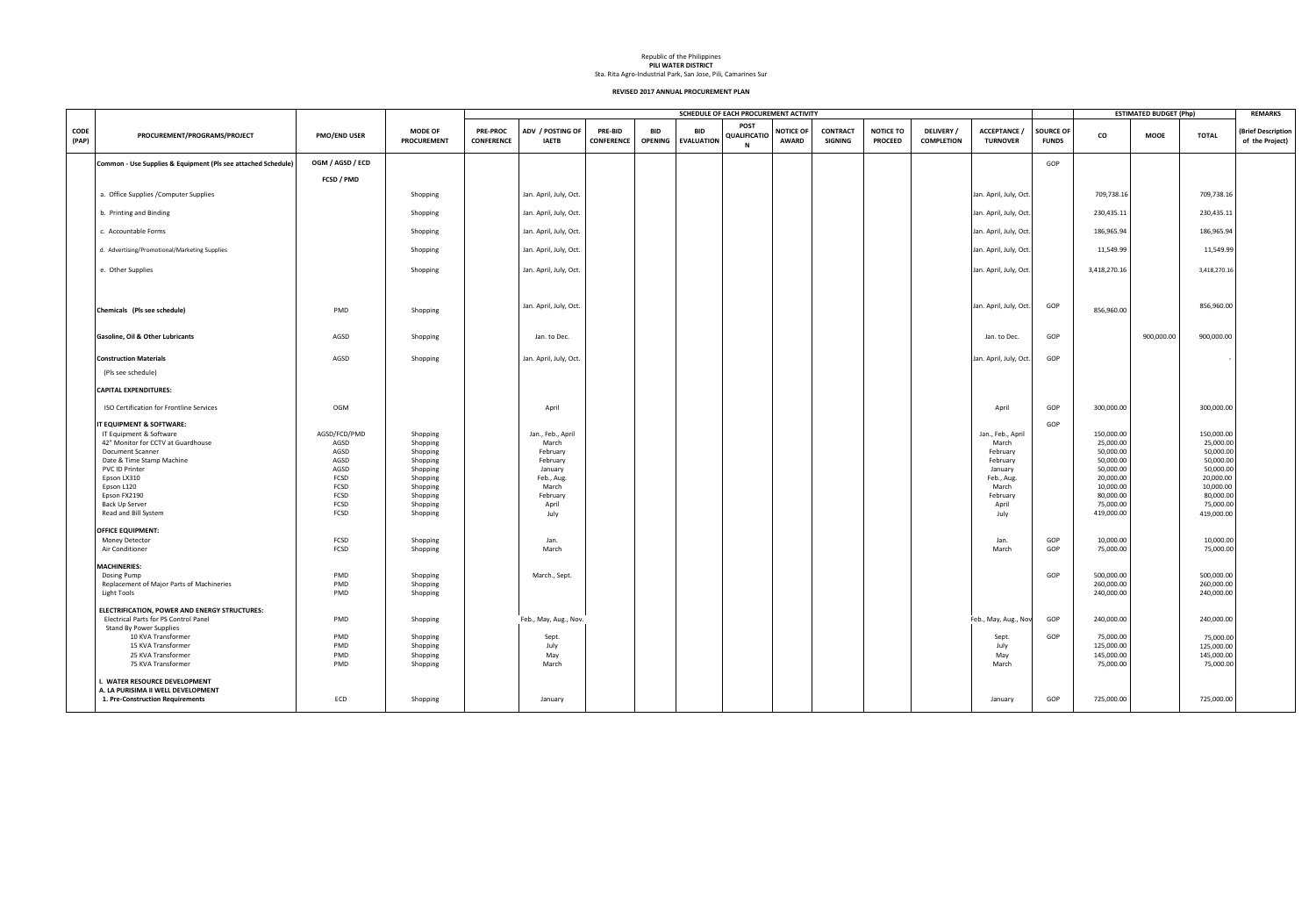|                      |                                                                     |                     |                                      |                                      |                                  |                                     |                       |                                 | SCHEDULE OF EACH PROCUREMENT ACTIVITY   |                                  |                                   |                                    |                                        |                                      |                                  |                        | <b>ESTIMATED BUDGET (Php)</b> |                        | <b>REMARKS</b>                        |
|----------------------|---------------------------------------------------------------------|---------------------|--------------------------------------|--------------------------------------|----------------------------------|-------------------------------------|-----------------------|---------------------------------|-----------------------------------------|----------------------------------|-----------------------------------|------------------------------------|----------------------------------------|--------------------------------------|----------------------------------|------------------------|-------------------------------|------------------------|---------------------------------------|
| <b>CODE</b><br>(PAP) | PROCUREMENT/PROGRAMS/PROJECT                                        | <b>PMO/END USER</b> | <b>MODE OF</b><br><b>PROCUREMENT</b> | <b>PRE-PROC</b><br><b>CONFERENCE</b> | ADV / POSTING OF<br><b>IAETB</b> | <b>PRE-BID</b><br><b>CONFERENCE</b> | BID<br><b>OPENING</b> | <b>BID</b><br><b>EVALUATION</b> | <b>POST</b><br>QUALIFICATIC<br><b>N</b> | <b>NOTICE OF</b><br><b>AWARD</b> | <b>CONTRACT</b><br><b>SIGNING</b> | <b>NOTICE TO</b><br><b>PROCEED</b> | <b>DELIVERY</b> /<br><b>COMPLETION</b> | <b>ACCEPTANCE</b><br><b>TURNOVER</b> | <b>SOURCE OF</b><br><b>FUNDS</b> | CO                     | <b>MOOE</b>                   | <b>TOTAL</b>           | (Brief Description<br>of the Project) |
|                      | Common - Use Supplies & Equipment (Pls see attached Schedule)       | OGM / AGSD / ECD    |                                      |                                      |                                  |                                     |                       |                                 |                                         |                                  |                                   |                                    |                                        |                                      | GOP                              |                        |                               |                        |                                       |
|                      |                                                                     | FCSD / PMD          |                                      |                                      |                                  |                                     |                       |                                 |                                         |                                  |                                   |                                    |                                        |                                      |                                  |                        |                               |                        |                                       |
|                      | a. Office Supplies / Computer Supplies                              |                     | Shopping                             |                                      | Jan. April, July, Oct.           |                                     |                       |                                 |                                         |                                  |                                   |                                    |                                        | Jan. April, July, Oct.               |                                  | 709,738.16             |                               | 709,738.16             |                                       |
|                      |                                                                     |                     |                                      |                                      |                                  |                                     |                       |                                 |                                         |                                  |                                   |                                    |                                        |                                      |                                  |                        |                               |                        |                                       |
|                      | b. Printing and Binding                                             |                     | Shopping                             |                                      | Jan. April, July, Oct.           |                                     |                       |                                 |                                         |                                  |                                   |                                    |                                        | Jan. April, July, Oct.               |                                  | 230,435.11             |                               | 230,435.11             |                                       |
|                      | c. Accountable Forms                                                |                     | Shopping                             |                                      | Jan. April, July, Oct.           |                                     |                       |                                 |                                         |                                  |                                   |                                    |                                        | Jan. April, July, Oct.               |                                  | 186,965.94             |                               | 186,965.94             |                                       |
|                      | d. Advertising/Promotional/Marketing Supplies                       |                     | Shopping                             |                                      | Jan. April, July, Oct.           |                                     |                       |                                 |                                         |                                  |                                   |                                    |                                        | Jan. April, July, Oct.               |                                  | 11,549.99              |                               | 11,549.99              |                                       |
|                      | e. Other Supplies                                                   |                     | Shopping                             |                                      | Jan. April, July, Oct.           |                                     |                       |                                 |                                         |                                  |                                   |                                    |                                        | Jan. April, July, Oct.               |                                  | 3,418,270.16           |                               | 3,418,270.16           |                                       |
|                      | Chemicals (Pls see schedule)                                        | PMD                 | Shopping                             |                                      | Jan. April, July, Oct.           |                                     |                       |                                 |                                         |                                  |                                   |                                    |                                        | Jan. April, July, Oct.               | GOP                              | 856,960.00             |                               | 856,960.00             |                                       |
|                      | <b>Gasoline, Oil &amp; Other Lubricants</b>                         | AGSD                | Shopping                             |                                      | Jan. to Dec.                     |                                     |                       |                                 |                                         |                                  |                                   |                                    |                                        | Jan. to Dec.                         | GOP                              |                        | 900,000.00                    | 900,000.00             |                                       |
|                      | <b>Construction Materials</b>                                       | AGSD                | Shopping                             |                                      | Jan. April, July, Oct.           |                                     |                       |                                 |                                         |                                  |                                   |                                    |                                        | Jan. April, July, Oct.               | GOP                              |                        |                               |                        |                                       |
|                      | (Pls see schedule)                                                  |                     |                                      |                                      |                                  |                                     |                       |                                 |                                         |                                  |                                   |                                    |                                        |                                      |                                  |                        |                               |                        |                                       |
|                      | <b>CAPITAL EXPENDITURES:</b>                                        |                     |                                      |                                      |                                  |                                     |                       |                                 |                                         |                                  |                                   |                                    |                                        |                                      |                                  |                        |                               |                        |                                       |
|                      | ISO Certification for Frontline Services                            | <b>OGM</b>          |                                      |                                      | April                            |                                     |                       |                                 |                                         |                                  |                                   |                                    |                                        | April                                | GOP                              | 300,000.00             |                               | 300,000.00             |                                       |
|                      | IT EQUIPMENT & SOFTWARE:                                            |                     |                                      |                                      |                                  |                                     |                       |                                 |                                         |                                  |                                   |                                    |                                        |                                      | GOP                              |                        |                               |                        |                                       |
|                      | IT Equipment & Software                                             | AGSD/FCD/PMD        | Shopping                             |                                      | Jan., Feb., April                |                                     |                       |                                 |                                         |                                  |                                   |                                    |                                        | Jan., Feb., April                    |                                  | 150,000.00             |                               | 150,000.00             |                                       |
|                      | 42" Monitor for CCTV at Guardhouse                                  | AGSD                | Shopping                             |                                      | March                            |                                     |                       |                                 |                                         |                                  |                                   |                                    |                                        | March                                |                                  | 25,000.00              |                               | 25,000.00              |                                       |
|                      | <b>Document Scanner</b>                                             | AGSD                | Shopping                             |                                      | February                         |                                     |                       |                                 |                                         |                                  |                                   |                                    |                                        | February                             |                                  | 50,000.00              |                               | 50,000.00              |                                       |
|                      | Date & Time Stamp Machine                                           | AGSD                | Shopping                             |                                      | February                         |                                     |                       |                                 |                                         |                                  |                                   |                                    |                                        | February                             |                                  | 50,000.00              |                               | 50,000.00              |                                       |
|                      | PVC ID Printer                                                      | AGSD                | Shopping                             |                                      | January                          |                                     |                       |                                 |                                         |                                  |                                   |                                    |                                        | January                              |                                  | 50,000.00              |                               | 50,000.00              |                                       |
|                      | Epson LX310                                                         | FCSD                | Shopping                             |                                      | Feb., Aug.                       |                                     |                       |                                 |                                         |                                  |                                   |                                    |                                        | Feb., Aug.                           |                                  | 20,000.00              |                               | 20,000.00              |                                       |
|                      | Epson L120                                                          | FCSD                | Shopping                             |                                      | March                            |                                     |                       |                                 |                                         |                                  |                                   |                                    |                                        | March                                |                                  | 10,000.00              |                               | 10,000.00              |                                       |
|                      | Epson FX2190                                                        | FCSD<br>FCSD        | Shopping                             |                                      | February                         |                                     |                       |                                 |                                         |                                  |                                   |                                    |                                        | February                             |                                  | 80,000.00<br>75,000.00 |                               | 80,000.00              |                                       |
|                      | Back Up Server                                                      |                     | Shopping                             |                                      | April                            |                                     |                       |                                 |                                         |                                  |                                   |                                    |                                        | April                                |                                  |                        |                               | 75,000.00              |                                       |
|                      | Read and Bill System                                                | FCSD                | Shopping                             |                                      | July                             |                                     |                       |                                 |                                         |                                  |                                   |                                    |                                        | July                                 |                                  | 419,000.00             |                               | 419,000.00             |                                       |
|                      | <b>OFFICE EQUIPMENT:</b>                                            |                     |                                      |                                      |                                  |                                     |                       |                                 |                                         |                                  |                                   |                                    |                                        |                                      |                                  |                        |                               |                        |                                       |
|                      | Money Detector                                                      | FCSD                |                                      |                                      | Jan.                             |                                     |                       |                                 |                                         |                                  |                                   |                                    |                                        |                                      | GOP                              | 10,000.00              |                               |                        |                                       |
|                      | Air Conditioner                                                     | FCSD                | Shopping                             |                                      | March                            |                                     |                       |                                 |                                         |                                  |                                   |                                    |                                        | Jan.<br>March                        | GOP                              | 75,000.00              |                               | 10,000.00<br>75,000.00 |                                       |
|                      |                                                                     |                     | Shopping                             |                                      |                                  |                                     |                       |                                 |                                         |                                  |                                   |                                    |                                        |                                      |                                  |                        |                               |                        |                                       |
|                      | <b>MACHINERIES:</b>                                                 |                     |                                      |                                      |                                  |                                     |                       |                                 |                                         |                                  |                                   |                                    |                                        |                                      |                                  |                        |                               |                        |                                       |
|                      | Dosing Pump                                                         | PMD                 | Shopping                             |                                      | March., Sept.                    |                                     |                       |                                 |                                         |                                  |                                   |                                    |                                        |                                      | GOP                              | 500,000.00             |                               | 500,000.00             |                                       |
|                      | Replacement of Major Parts of Machineries                           | PMD                 | Shopping                             |                                      |                                  |                                     |                       |                                 |                                         |                                  |                                   |                                    |                                        |                                      |                                  | 260,000.00             |                               | 260,000.00             |                                       |
|                      | Light Tools                                                         | PMD                 | Shopping                             |                                      |                                  |                                     |                       |                                 |                                         |                                  |                                   |                                    |                                        |                                      |                                  | 240,000.00             |                               | 240,000.00             |                                       |
|                      | ELECTRIFICATION, POWER AND ENERGY STRUCTURES:                       |                     |                                      |                                      |                                  |                                     |                       |                                 |                                         |                                  |                                   |                                    |                                        |                                      |                                  |                        |                               |                        |                                       |
|                      | Electrical Parts for PS Control Panel                               | PMD                 | Shopping                             |                                      | Feb., May, Aug., Nov.            |                                     |                       |                                 |                                         |                                  |                                   |                                    |                                        | Feb., May, Aug., Nov                 | GOP                              | 240,000.00             |                               | 240,000.00             |                                       |
|                      | <b>Stand By Power Supplies</b>                                      |                     |                                      |                                      |                                  |                                     |                       |                                 |                                         |                                  |                                   |                                    |                                        |                                      |                                  |                        |                               |                        |                                       |
|                      | 10 KVA Transformer                                                  | PMD                 | Shopping                             |                                      | Sept.                            |                                     |                       |                                 |                                         |                                  |                                   |                                    |                                        | Sept.                                | GOP                              | 75,000.00              |                               | 75,000.00              |                                       |
|                      | 15 KVA Transformer                                                  | PMD                 | Shopping                             |                                      | July                             |                                     |                       |                                 |                                         |                                  |                                   |                                    |                                        | July                                 |                                  | 125,000.00             |                               | 125,000.00             |                                       |
|                      | 25 KVA Transformer                                                  | PMD                 | Shopping                             |                                      | May                              |                                     |                       |                                 |                                         |                                  |                                   |                                    |                                        | May                                  |                                  | 145,000.00             |                               | 145,000.00             |                                       |
|                      | 75 KVA Transformer                                                  | PMD                 | Shopping                             |                                      | March                            |                                     |                       |                                 |                                         |                                  |                                   |                                    |                                        | March                                |                                  | 75,000.00              |                               | 75,000.00              |                                       |
|                      | I. WATER RESOURCE DEVELOPMENT<br>A. LA PURISIMA II WELL DEVELOPMENT |                     |                                      |                                      |                                  |                                     |                       |                                 |                                         |                                  |                                   |                                    |                                        |                                      |                                  |                        |                               |                        |                                       |
|                      | 1. Pre-Construction Requirements                                    | ECD                 | Shopping                             |                                      | January                          |                                     |                       |                                 |                                         |                                  |                                   |                                    |                                        | January                              | GOP                              | 725,000.00             |                               | 725,000.00             |                                       |
|                      |                                                                     |                     |                                      |                                      |                                  |                                     |                       |                                 |                                         |                                  |                                   |                                    |                                        |                                      |                                  |                        |                               |                        |                                       |

Republic of the Philippines

**PILI WATER DISTRICT** Sta. Rita Agro-Industrial Park, San Jose, Pili, Camarines Sur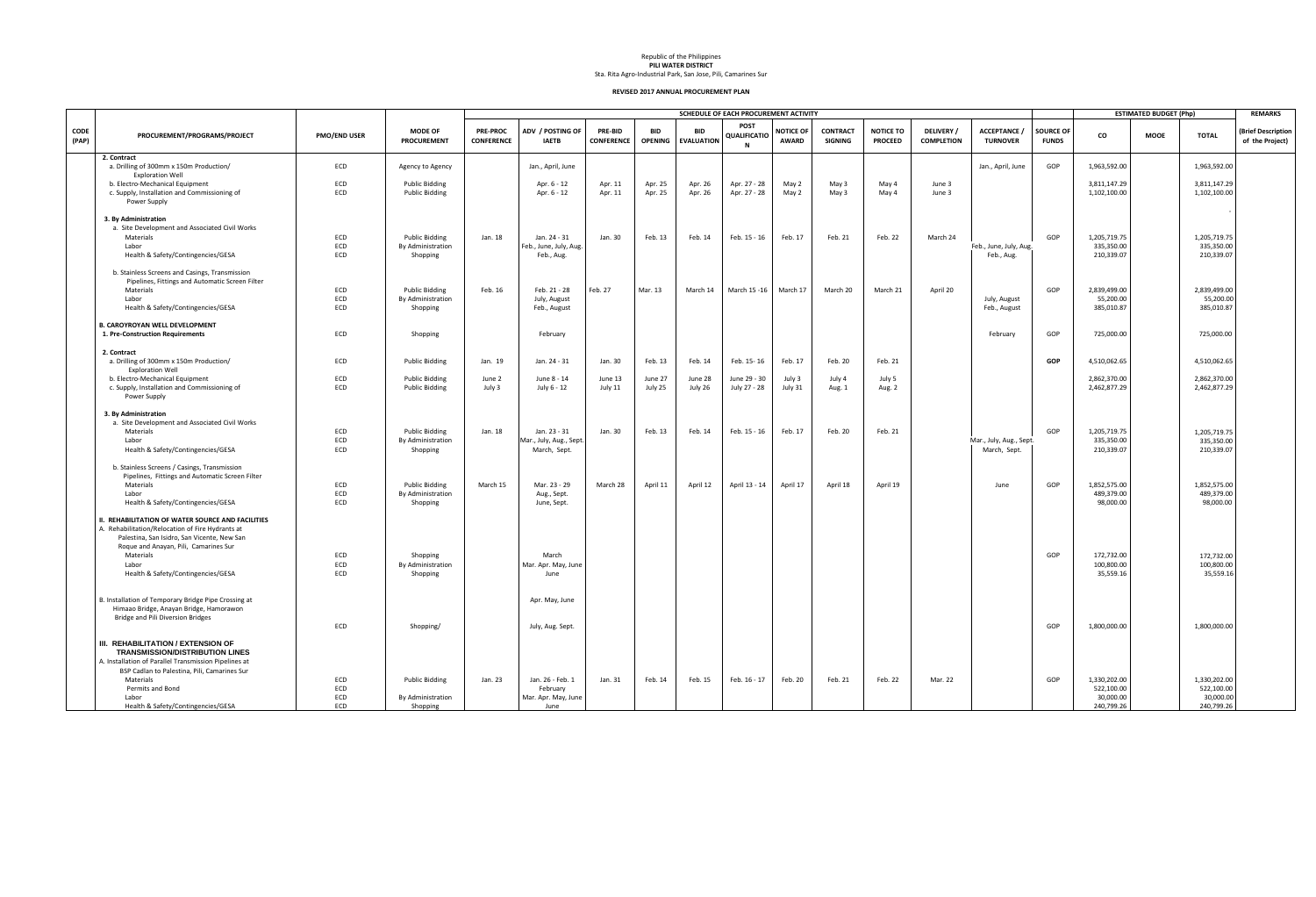Republic of the Philippines **PILI WATER DISTRICT**

Sta. Rita Agro-Industrial Park, San Jose, Pili, Camarines Sur

|                      |                                                                                                                                                      |                     |                                      |                                      |                                        |                                     |                              |                                 | SCHEDULE OF EACH PROCUREMENT ACTIVITY |                                  |                                   |                                    |                                      |                                         |                                  |                            | <b>ESTIMATED BUDGET (Php)</b> |                          | <b>REMARKS</b>                        |
|----------------------|------------------------------------------------------------------------------------------------------------------------------------------------------|---------------------|--------------------------------------|--------------------------------------|----------------------------------------|-------------------------------------|------------------------------|---------------------------------|---------------------------------------|----------------------------------|-----------------------------------|------------------------------------|--------------------------------------|-----------------------------------------|----------------------------------|----------------------------|-------------------------------|--------------------------|---------------------------------------|
| <b>CODE</b><br>(PAP) | PROCUREMENT/PROGRAMS/PROJECT                                                                                                                         | <b>PMO/END USER</b> | <b>MODE OF</b><br><b>PROCUREMENT</b> | <b>PRE-PROC</b><br><b>CONFERENCE</b> | ADV / POSTING OF<br><b>IAETB</b>       | <b>PRE-BID</b><br><b>CONFERENCE</b> | <b>BID</b><br><b>OPENING</b> | <b>BID</b><br><b>EVALUATION</b> | <b>POST</b><br>QUALIFICATIO<br>N      | <b>NOTICE OF</b><br><b>AWARD</b> | <b>CONTRACT</b><br><b>SIGNING</b> | <b>NOTICE TO</b><br><b>PROCEED</b> | <b>DELIVERY</b><br><b>COMPLETION</b> | <b>ACCEPTANCE</b><br><b>TURNOVER</b>    | <b>SOURCE OF</b><br><b>FUNDS</b> | CO                         | <b>MOOE</b>                   | <b>TOTAL</b>             | (Brief Description<br>of the Project) |
|                      | 2. Contract<br>a. Drilling of 300mm x 150m Production/<br><b>Exploration Well</b>                                                                    | ECD                 | Agency to Agency                     |                                      | Jan., April, June                      |                                     |                              |                                 |                                       |                                  |                                   |                                    |                                      | Jan., April, June                       | GOP                              | 1,963,592.00               |                               | 1,963,592.00             |                                       |
|                      | b. Electro-Mechanical Equipment                                                                                                                      | ECD                 | <b>Public Bidding</b>                |                                      | Apr. 6 - 12                            | Apr. 11                             | Apr. 25                      | Apr. 26                         | Apr. 27 - 28                          | May 2                            | May 3                             | May 4                              | June 3                               |                                         |                                  | 3,811,147.29               |                               | 3,811,147.29             |                                       |
|                      | c. Supply, Installation and Commissioning of<br>Power Supply                                                                                         | <b>ECD</b>          | <b>Public Bidding</b>                |                                      | Apr. 6 - 12                            | Apr. 11                             | Apr. 25                      | Apr. 26                         | Apr. 27 - 28                          | May 2                            | May 3                             | May 4                              | June 3                               |                                         |                                  | 1,102,100.00               |                               | 1,102,100.00             |                                       |
|                      | 3. By Administration<br>a. Site Development and Associated Civil Works                                                                               |                     |                                      |                                      |                                        |                                     |                              |                                 |                                       |                                  |                                   |                                    |                                      |                                         |                                  |                            |                               |                          |                                       |
|                      | Materials                                                                                                                                            | ECD                 | <b>Public Bidding</b>                | Jan. 18                              | Jan. 24 - 31                           | Jan. 30                             | Feb. 13                      | Feb. 14                         | Feb. 15 - 16                          | Feb. 17                          | Feb. 21                           | Feb. 22                            | March 24                             |                                         | GOP                              | 1,205,719.75               |                               | 1,205,719.75             |                                       |
|                      | Labor<br>Health & Safety/Contingencies/GESA                                                                                                          | ECD<br>ECD          | By Administration<br>Shopping        |                                      | Feb., June, July, Aug.<br>Feb., Aug.   |                                     |                              |                                 |                                       |                                  |                                   |                                    |                                      | Feb., June, July, Aug.<br>Feb., Aug.    |                                  | 335,350.00<br>210,339.07   |                               | 335,350.00<br>210,339.07 |                                       |
|                      | b. Stainless Screens and Casings, Transmission<br>Pipelines, Fittings and Automatic Screen Filter                                                    |                     |                                      |                                      |                                        |                                     |                              |                                 |                                       |                                  |                                   |                                    |                                      |                                         |                                  |                            |                               |                          |                                       |
|                      | Materials                                                                                                                                            | ECD                 | <b>Public Bidding</b>                | Feb. 16                              | Feb. 21 - 28                           | Feb. 27                             | Mar. 13                      | March 14                        | March 15 - 16                         | March 17                         | March 20                          | March 21                           | April 20                             |                                         | GOP                              | 2,839,499.00               |                               | 2,839,499.00             |                                       |
|                      | Labor<br>Health & Safety/Contingencies/GESA                                                                                                          | ECD<br>ECD          | By Administration<br>Shopping        |                                      | July, August<br>Feb., August           |                                     |                              |                                 |                                       |                                  |                                   |                                    |                                      | July, August<br>Feb., August            |                                  | 55,200.00<br>385,010.87    |                               | 55,200.00<br>385,010.87  |                                       |
|                      | <b>B. CAROYROYAN WELL DEVELOPMENT</b>                                                                                                                |                     |                                      |                                      |                                        |                                     |                              |                                 |                                       |                                  |                                   |                                    |                                      |                                         |                                  |                            |                               |                          |                                       |
|                      | 1. Pre-Construction Requirements                                                                                                                     | ECD                 | Shopping                             |                                      | February                               |                                     |                              |                                 |                                       |                                  |                                   |                                    |                                      | February                                | GOP                              | 725,000.00                 |                               | 725,000.00               |                                       |
|                      | 2. Contract<br>a. Drilling of 300mm x 150m Production/                                                                                               | ECD                 | <b>Public Bidding</b>                | Jan. 19                              | Jan. 24 - 31                           | Jan. 30                             | Feb. 13                      | Feb. 14                         | Feb. 15-16                            | Feb. 17                          | Feb. 20                           | Feb. 21                            |                                      |                                         | <b>GOP</b>                       | 4,510,062.65               |                               | 4,510,062.65             |                                       |
|                      | <b>Exploration Well</b>                                                                                                                              |                     |                                      |                                      |                                        |                                     |                              |                                 |                                       |                                  |                                   |                                    |                                      |                                         |                                  |                            |                               |                          |                                       |
|                      | b. Electro-Mechanical Equipment                                                                                                                      | ECD                 | <b>Public Bidding</b>                | June 2                               | June 8 - 14                            | June 13                             | June 27                      | June 28                         | June 29 - 30                          | July 3                           | July 4                            | July 5                             |                                      |                                         |                                  | 2,862,370.00               |                               | 2,862,370.00             |                                       |
|                      | c. Supply, Installation and Commissioning of<br>Power Supply                                                                                         | <b>ECD</b>          | <b>Public Bidding</b>                | July 3                               | July 6 - 12                            | July 11                             | July 25                      | July 26                         | July 27 - 28                          | July 31                          | Aug. 1                            | Aug. 2                             |                                      |                                         |                                  | 2,462,877.29               |                               | 2,462,877.29             |                                       |
|                      | 3. By Administration                                                                                                                                 |                     |                                      |                                      |                                        |                                     |                              |                                 |                                       |                                  |                                   |                                    |                                      |                                         |                                  |                            |                               |                          |                                       |
|                      | a. Site Development and Associated Civil Works                                                                                                       |                     |                                      |                                      |                                        |                                     |                              |                                 |                                       |                                  |                                   |                                    |                                      |                                         |                                  |                            |                               |                          |                                       |
|                      | Materials                                                                                                                                            | ECD<br>ECD          | <b>Public Bidding</b>                | Jan. 18                              | Jan. 23 - 31                           | Jan. 30                             | Feb. 13                      | Feb. 14                         | Feb. 15 - 16                          | Feb. 17                          | Feb. 20                           | Feb. 21                            |                                      |                                         | GOP                              | 1,205,719.75<br>335,350.00 |                               | 1,205,719.75             |                                       |
|                      | Labor<br>Health & Safety/Contingencies/GESA                                                                                                          | ECD                 | By Administration<br>Shopping        |                                      | Mar., July, Aug., Sept<br>March, Sept. |                                     |                              |                                 |                                       |                                  |                                   |                                    |                                      | Mar., July, Aug., Sept.<br>March, Sept. |                                  | 210,339.07                 |                               | 335,350.00<br>210,339.07 |                                       |
|                      | b. Stainless Screens / Casings, Transmission<br>Pipelines, Fittings and Automatic Screen Filter                                                      |                     |                                      |                                      |                                        |                                     |                              |                                 |                                       |                                  |                                   |                                    |                                      |                                         |                                  |                            |                               |                          |                                       |
|                      | Materials                                                                                                                                            | ECD                 | <b>Public Bidding</b>                | March 15                             | Mar. 23 - 29                           | March 28                            | April 11                     | April 12                        | April 13 - 14                         | April 17                         | April 18                          | April 19                           |                                      | June                                    | GOP                              | 1,852,575.00               |                               | 1,852,575.00             |                                       |
|                      | Labor<br>Health & Safety/Contingencies/GESA                                                                                                          | ECD<br><b>ECD</b>   | By Administration<br>Shopping        |                                      | Aug., Sept.<br>June, Sept.             |                                     |                              |                                 |                                       |                                  |                                   |                                    |                                      |                                         |                                  | 489,379.00<br>98,000.00    |                               | 489,379.00<br>98,000.00  |                                       |
|                      | II. REHABILITATION OF WATER SOURCE AND FACILITIES<br>A. Rehabilitation/Relocation of Fire Hydrants at<br>Palestina, San Isidro, San Vicente, New San |                     |                                      |                                      |                                        |                                     |                              |                                 |                                       |                                  |                                   |                                    |                                      |                                         |                                  |                            |                               |                          |                                       |
|                      | Roque and Anayan, Pili, Camarines Sur                                                                                                                |                     |                                      |                                      |                                        |                                     |                              |                                 |                                       |                                  |                                   |                                    |                                      |                                         |                                  |                            |                               |                          |                                       |
|                      | Materials                                                                                                                                            | ECD                 | Shopping                             |                                      | March                                  |                                     |                              |                                 |                                       |                                  |                                   |                                    |                                      |                                         | GOP                              | 172,732.00                 |                               | 172,732.00               |                                       |
|                      | Labor                                                                                                                                                | ECD                 | By Administration                    |                                      | Mar. Apr. May, June                    |                                     |                              |                                 |                                       |                                  |                                   |                                    |                                      |                                         |                                  | 100,800.00                 |                               | 100,800.00               |                                       |
|                      | Health & Safety/Contingencies/GESA                                                                                                                   | ECD                 | Shopping                             |                                      | June                                   |                                     |                              |                                 |                                       |                                  |                                   |                                    |                                      |                                         |                                  | 35,559.16                  |                               | 35,559.16                |                                       |
|                      | B. Installation of Temporary Bridge Pipe Crossing at<br>Himaao Bridge, Anayan Bridge, Hamorawon                                                      |                     |                                      |                                      | Apr. May, June                         |                                     |                              |                                 |                                       |                                  |                                   |                                    |                                      |                                         |                                  |                            |                               |                          |                                       |
|                      | Bridge and Pili Diversion Bridges                                                                                                                    | ECD                 | Shopping/                            |                                      | July, Aug. Sept.                       |                                     |                              |                                 |                                       |                                  |                                   |                                    |                                      |                                         | GOP                              | 1,800,000.00               |                               | 1,800,000.00             |                                       |
|                      | III. REHABILITATION / EXTENSION OF<br><b>TRANSMISSION/DISTRIBUTION LINES</b>                                                                         |                     |                                      |                                      |                                        |                                     |                              |                                 |                                       |                                  |                                   |                                    |                                      |                                         |                                  |                            |                               |                          |                                       |
|                      | A. Installation of Parallel Transmission Pipelines at<br>BSP Cadlan to Palestina, Pili, Camarines Sur                                                |                     |                                      |                                      |                                        |                                     |                              |                                 |                                       |                                  |                                   |                                    |                                      |                                         |                                  |                            |                               |                          |                                       |
|                      | Materials                                                                                                                                            | ECD                 | <b>Public Bidding</b>                | Jan. 23                              | Jan. 26 - Feb. 1                       | Jan. 31                             | Feb. 14                      | Feb. 15                         | Feb. 16 - 17                          | Feb. 20                          | Feb. 21                           | Feb. 22                            | Mar. 22                              |                                         | GOP                              | 1,330,202.00               |                               | 1,330,202.00             |                                       |
|                      | Permits and Bond                                                                                                                                     | ECD                 |                                      |                                      | February                               |                                     |                              |                                 |                                       |                                  |                                   |                                    |                                      |                                         |                                  | 522,100.00                 |                               | 522,100.00               |                                       |
|                      | Labor                                                                                                                                                | ECD                 | By Administration                    |                                      | Mar. Apr. May, June                    |                                     |                              |                                 |                                       |                                  |                                   |                                    |                                      |                                         |                                  | 30,000.00                  |                               | 30,000.00                |                                       |
|                      | Health & Safety/Contingencies/GESA                                                                                                                   | ECD                 | Shopping                             |                                      | June                                   |                                     |                              |                                 |                                       |                                  |                                   |                                    |                                      |                                         |                                  | 240,799.26                 |                               | 240,799.26               |                                       |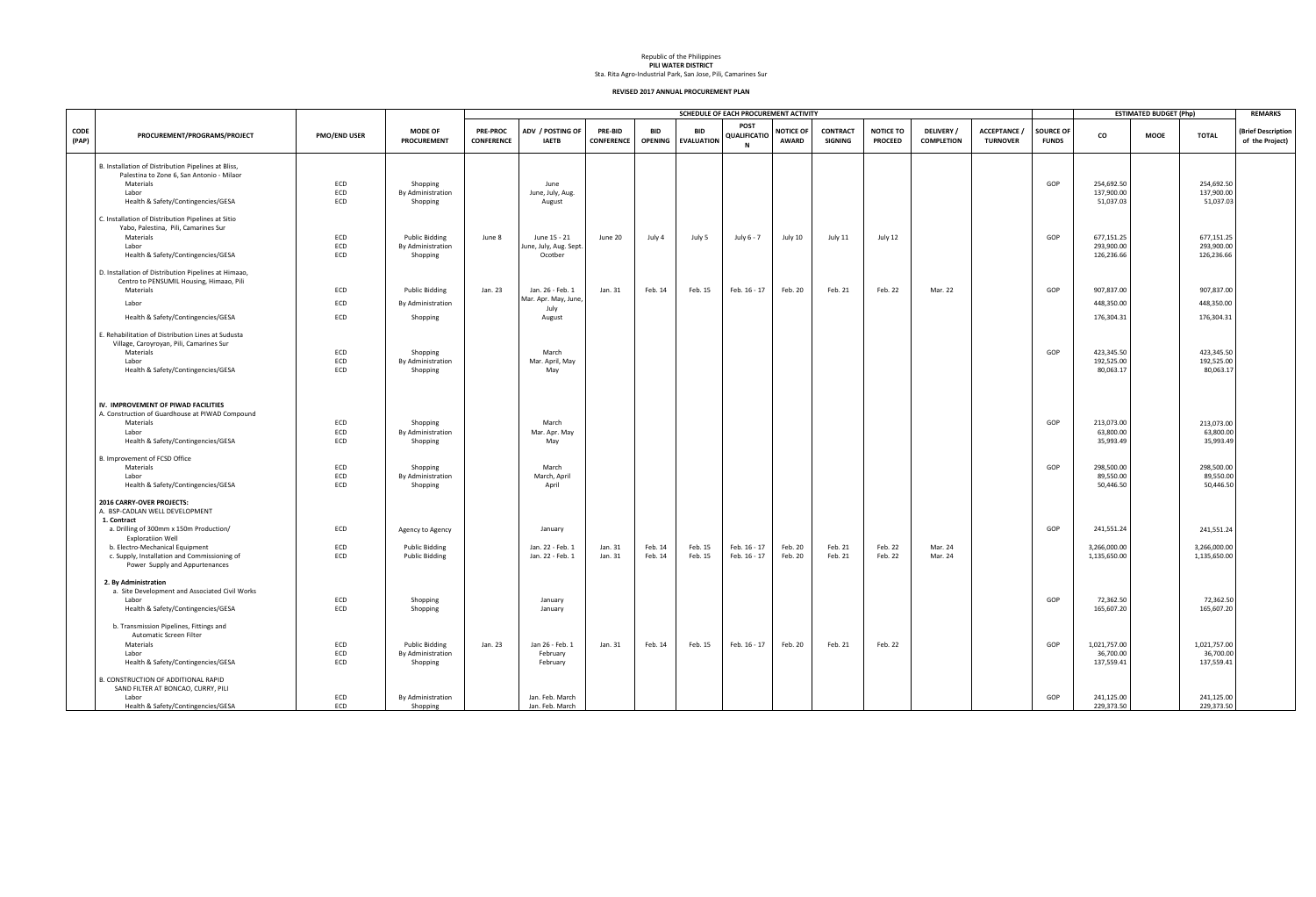Republic of the Philippines **PILI WATER DISTRICT**

Sta. Rita Agro-Industrial Park, San Jose, Pili, Camarines Sur

|                      |                                                                                                                                                    |                     |                                           |                                      |                                          |                                     |                              |                                 | SCHEDULE OF EACH PROCUREMENT ACTIVITY |                                  |                            |                                    |                                      |                                      |                                  |                                      | <b>ESTIMATED BUDGET (Php)</b> |                                      | <b>REMARKS</b>                        |
|----------------------|----------------------------------------------------------------------------------------------------------------------------------------------------|---------------------|-------------------------------------------|--------------------------------------|------------------------------------------|-------------------------------------|------------------------------|---------------------------------|---------------------------------------|----------------------------------|----------------------------|------------------------------------|--------------------------------------|--------------------------------------|----------------------------------|--------------------------------------|-------------------------------|--------------------------------------|---------------------------------------|
| <b>CODE</b><br>(PAP) | PROCUREMENT/PROGRAMS/PROJECT                                                                                                                       | <b>PMO/END USER</b> | <b>MODE OF</b><br><b>PROCUREMENT</b>      | <b>PRE-PROC</b><br><b>CONFERENCE</b> | ADV / POSTING OF<br><b>IAETB</b>         | <b>PRE-BID</b><br><b>CONFERENCE</b> | <b>BID</b><br><b>OPENING</b> | <b>BID</b><br><b>EVALUATION</b> | <b>POST</b><br>QUALIFICATIO<br>- N    | <b>NOTICE OF</b><br><b>AWARD</b> | <b>CONTRACT</b><br>SIGNING | <b>NOTICE TO</b><br><b>PROCEED</b> | <b>DELIVERY</b><br><b>COMPLETION</b> | <b>ACCEPTANCE</b><br><b>TURNOVER</b> | <b>SOURCE OF</b><br><b>FUNDS</b> | CO                                   | <b>MOOE</b>                   | <b>TOTAL</b>                         | (Brief Description<br>of the Project) |
|                      | B. Installation of Distribution Pipelines at Bliss,                                                                                                |                     |                                           |                                      |                                          |                                     |                              |                                 |                                       |                                  |                            |                                    |                                      |                                      |                                  |                                      |                               |                                      |                                       |
|                      | Palestina to Zone 6, San Antonio - Milaor<br>Materials                                                                                             | ECD                 | Shopping                                  |                                      | June                                     |                                     |                              |                                 |                                       |                                  |                            |                                    |                                      |                                      | GOP                              | 254,692.50                           |                               | 254,692.50                           |                                       |
|                      | Labor                                                                                                                                              | ECD                 | By Administration                         |                                      | June, July, Aug.                         |                                     |                              |                                 |                                       |                                  |                            |                                    |                                      |                                      |                                  | 137,900.00                           |                               | 137,900.00                           |                                       |
|                      | Health & Safety/Contingencies/GESA                                                                                                                 | ECD                 | Shopping                                  |                                      | August                                   |                                     |                              |                                 |                                       |                                  |                            |                                    |                                      |                                      |                                  | 51,037.03                            |                               | 51,037.03                            |                                       |
|                      | C. Installation of Distribution Pipelines at Sitio                                                                                                 |                     |                                           |                                      |                                          |                                     |                              |                                 |                                       |                                  |                            |                                    |                                      |                                      |                                  |                                      |                               |                                      |                                       |
|                      | Yabo, Palestina, Pili, Camarines Sur<br>Materials                                                                                                  | ECD                 | <b>Public Bidding</b>                     | June 8                               | June 15 - 21                             | June 20                             | July 4                       | July 5                          | July 6 - 7                            | July 10                          | July 11                    | July 12                            |                                      |                                      | GOP                              | 677,151.25                           |                               | 677,151.25                           |                                       |
|                      | Labor                                                                                                                                              | ECD                 | By Administration                         |                                      | June, July, Aug. Sept                    |                                     |                              |                                 |                                       |                                  |                            |                                    |                                      |                                      |                                  | 293,900.00                           |                               | 293,900.00                           |                                       |
|                      | Health & Safety/Contingencies/GESA                                                                                                                 | ECD                 | Shopping                                  |                                      | Ocotber                                  |                                     |                              |                                 |                                       |                                  |                            |                                    |                                      |                                      |                                  | 126,236.66                           |                               | 126,236.66                           |                                       |
|                      | D. Installation of Distribution Pipelines at Himaao,                                                                                               |                     |                                           |                                      |                                          |                                     |                              |                                 |                                       |                                  |                            |                                    |                                      |                                      |                                  |                                      |                               |                                      |                                       |
|                      | Centro to PENSUMIL Housing, Himaao, Pili                                                                                                           |                     |                                           |                                      |                                          |                                     |                              |                                 |                                       |                                  |                            |                                    |                                      |                                      |                                  |                                      |                               |                                      |                                       |
|                      | Materials                                                                                                                                          | ECD                 | <b>Public Bidding</b>                     | Jan. 23                              | Jan. 26 - Feb. 1<br>Mar. Apr. May, June, | Jan. 31                             | Feb. 14                      | Feb. 15                         | Feb. 16 - 17                          | Feb. 20                          | Feb. 21                    | Feb. 22                            | Mar. 22                              |                                      | GOP                              | 907,837.00                           |                               | 907,837.00                           |                                       |
|                      | Labor                                                                                                                                              | ECD                 | By Administration                         |                                      |                                          |                                     |                              |                                 |                                       |                                  |                            |                                    |                                      |                                      |                                  | 448,350.00                           |                               | 448,350.00                           |                                       |
|                      | Health & Safety/Contingencies/GESA                                                                                                                 | ECD                 | Shopping                                  |                                      | July<br>August                           |                                     |                              |                                 |                                       |                                  |                            |                                    |                                      |                                      |                                  | 176,304.31                           |                               | 176,304.31                           |                                       |
|                      | E. Rehabilitation of Distribution Lines at Sudusta                                                                                                 |                     |                                           |                                      |                                          |                                     |                              |                                 |                                       |                                  |                            |                                    |                                      |                                      |                                  |                                      |                               |                                      |                                       |
|                      |                                                                                                                                                    |                     |                                           |                                      |                                          |                                     |                              |                                 |                                       |                                  |                            |                                    |                                      |                                      |                                  |                                      |                               |                                      |                                       |
|                      | Village, Caroyroyan, Pili, Camarines Sur<br>Materials                                                                                              | ECD                 | Shopping                                  |                                      | March                                    |                                     |                              |                                 |                                       |                                  |                            |                                    |                                      |                                      | GOP                              | 423,345.50                           |                               | 423,345.50                           |                                       |
|                      | Labor                                                                                                                                              | ECD                 | By Administration                         |                                      | Mar. April, May                          |                                     |                              |                                 |                                       |                                  |                            |                                    |                                      |                                      |                                  | 192,525.00                           |                               | 192,525.00                           |                                       |
|                      | Health & Safety/Contingencies/GESA                                                                                                                 | ECD                 | Shopping                                  |                                      | May                                      |                                     |                              |                                 |                                       |                                  |                            |                                    |                                      |                                      |                                  | 80,063.17                            |                               | 80,063.17                            |                                       |
|                      | IV. IMPROVEMENT OF PIWAD FACILITIES<br>A. Construction of Guardhouse at PIWAD Compound<br>Materials<br>Labor<br>Health & Safety/Contingencies/GESA | ECD<br>ECD<br>ECD   | Shopping<br>By Administration<br>Shopping |                                      | March<br>Mar. Apr. May<br>May            |                                     |                              |                                 |                                       |                                  |                            |                                    |                                      |                                      | GOP                              | 213,073.00<br>63,800.00<br>35,993.49 |                               | 213,073.00<br>63,800.00<br>35,993.49 |                                       |
|                      | B. Improvement of FCSD Office                                                                                                                      |                     |                                           |                                      |                                          |                                     |                              |                                 |                                       |                                  |                            |                                    |                                      |                                      |                                  |                                      |                               |                                      |                                       |
|                      | Materials                                                                                                                                          | ECD                 | Shopping                                  |                                      | March                                    |                                     |                              |                                 |                                       |                                  |                            |                                    |                                      |                                      | GOP                              | 298,500.00                           |                               | 298,500.00                           |                                       |
|                      | Labor                                                                                                                                              | ECD                 | By Administration                         |                                      | March, April                             |                                     |                              |                                 |                                       |                                  |                            |                                    |                                      |                                      |                                  | 89,550.00                            |                               | 89,550.00                            |                                       |
|                      | Health & Safety/Contingencies/GESA                                                                                                                 | ECD                 | Shopping                                  |                                      | April                                    |                                     |                              |                                 |                                       |                                  |                            |                                    |                                      |                                      |                                  | 50,446.50                            |                               | 50,446.50                            |                                       |
|                      | 2016 CARRY-OVER PROJECTS:<br>A. BSP-CADLAN WELL DEVELOPMENT<br>1. Contract                                                                         |                     |                                           |                                      |                                          |                                     |                              |                                 |                                       |                                  |                            |                                    |                                      |                                      |                                  |                                      |                               |                                      |                                       |
|                      | a. Drilling of 300mm x 150m Production/<br><b>Exploratiion Well</b>                                                                                | ECD                 | Agency to Agency                          |                                      | January                                  |                                     |                              |                                 |                                       |                                  |                            |                                    |                                      |                                      | GOP                              | 241,551.24                           |                               | 241,551.24                           |                                       |
|                      | b. Electro-Mechanical Equipment                                                                                                                    | ECD                 | <b>Public Bidding</b>                     |                                      | Jan. 22 - Feb. 1                         | Jan. 31                             | Feb. 14                      | Feb. 15                         | Feb. 16 - 17                          | Feb. 20                          | Feb. 21                    | Feb. 22                            | Mar. 24                              |                                      |                                  | 3,266,000.00                         |                               | 3,266,000.00                         |                                       |
|                      | c. Supply, Installation and Commissioning of<br>Power Supply and Appurtenances                                                                     | ECD                 | <b>Public Bidding</b>                     |                                      | Jan. 22 - Feb. 1                         | Jan. 31                             | Feb. 14                      | Feb. 15                         | Feb. 16 - 17                          | Feb. 20                          | Feb. 21                    | Feb. 22                            | Mar. 24                              |                                      |                                  | 1,135,650.00                         |                               | 1,135,650.00                         |                                       |
|                      | 2. By Administration                                                                                                                               |                     |                                           |                                      |                                          |                                     |                              |                                 |                                       |                                  |                            |                                    |                                      |                                      |                                  |                                      |                               |                                      |                                       |
|                      | a. Site Development and Associated Civil Works                                                                                                     |                     |                                           |                                      |                                          |                                     |                              |                                 |                                       |                                  |                            |                                    |                                      |                                      |                                  |                                      |                               |                                      |                                       |
|                      | Labor<br>Health & Safety/Contingencies/GESA                                                                                                        | ECD<br>ECD          | Shopping<br>Shopping                      |                                      | January<br>January                       |                                     |                              |                                 |                                       |                                  |                            |                                    |                                      |                                      | GOP                              | 72,362.50<br>165,607.20              |                               | 72,362.50<br>165,607.20              |                                       |
|                      | b. Transmission Pipelines, Fittings and                                                                                                            |                     |                                           |                                      |                                          |                                     |                              |                                 |                                       |                                  |                            |                                    |                                      |                                      |                                  |                                      |                               |                                      |                                       |
|                      | Automatic Screen Filter                                                                                                                            |                     |                                           |                                      |                                          |                                     |                              |                                 |                                       |                                  |                            |                                    |                                      |                                      |                                  |                                      |                               |                                      |                                       |
|                      | Materials                                                                                                                                          | ECD                 | <b>Public Bidding</b>                     | Jan. 23                              | Jan 26 - Feb. 1                          | Jan. 31                             | Feb. 14                      | Feb. 15                         | Feb. 16 - 17                          | Feb. 20                          | Feb. 21                    | Feb. 22                            |                                      |                                      | GOP                              | 1,021,757.00                         |                               | 1,021,757.00                         |                                       |
|                      | Labor<br>Health & Safety/Contingencies/GESA                                                                                                        | ECD<br>ECD          | By Administration<br>Shopping             |                                      | February<br>February                     |                                     |                              |                                 |                                       |                                  |                            |                                    |                                      |                                      |                                  | 36,700.00<br>137,559.41              |                               | 36,700.00<br>137,559.41              |                                       |
|                      | B. CONSTRUCTION OF ADDITIONAL RAPID<br>SAND FILTER AT BONCAO, CURRY, PILI                                                                          |                     |                                           |                                      |                                          |                                     |                              |                                 |                                       |                                  |                            |                                    |                                      |                                      |                                  |                                      |                               |                                      |                                       |
|                      | Labor                                                                                                                                              | ECD                 | By Administration                         |                                      | Jan. Feb. March                          |                                     |                              |                                 |                                       |                                  |                            |                                    |                                      |                                      | GOP                              | 241,125.00                           |                               | 241,125.00                           |                                       |
|                      | Health & Safety/Contingencies/GESA                                                                                                                 | ECD                 | Shopping                                  |                                      | Jan. Feb. March                          |                                     |                              |                                 |                                       |                                  |                            |                                    |                                      |                                      |                                  | 229,373.50                           |                               | 229,373.50                           |                                       |